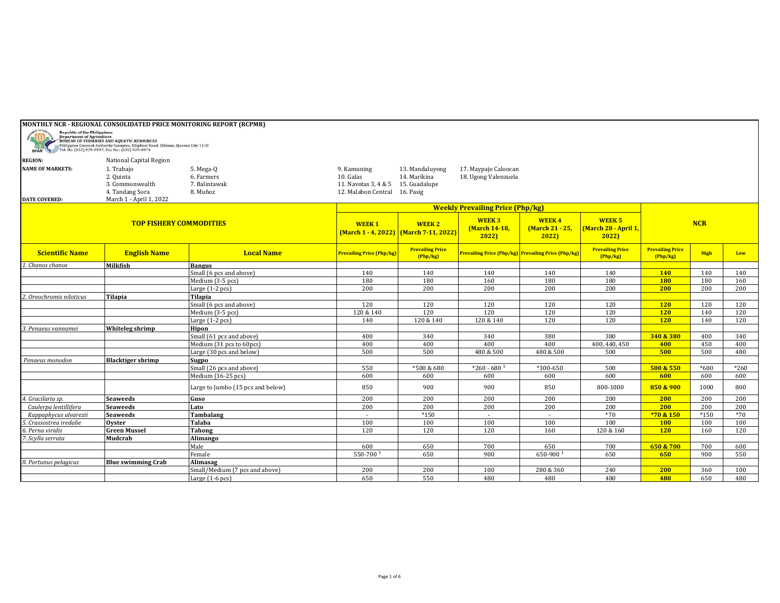|                                                   | MONTHLY NCR - REGIONAL CONSOLIDATED PRICE MONITORING REPORT (RCPMR)                                                                                                                                                                  |                                                      |                                                                                   |                                                               |                                              |                                                            |                                               |                                   |               |               |
|---------------------------------------------------|--------------------------------------------------------------------------------------------------------------------------------------------------------------------------------------------------------------------------------------|------------------------------------------------------|-----------------------------------------------------------------------------------|---------------------------------------------------------------|----------------------------------------------|------------------------------------------------------------|-----------------------------------------------|-----------------------------------|---------------|---------------|
| <b>Republic of the Philippines</b><br><b>BFAR</b> | <b>Exercise Constitution Constitution Constitution Constitution Constitution Constitution Constitution Constitution Constitution Constitution Constitution Constitution Constitution Constitution Constitution Constitution Cons</b> |                                                      |                                                                                   |                                                               |                                              |                                                            |                                               |                                   |               |               |
| <b>REGION:</b>                                    | National Capital Region                                                                                                                                                                                                              |                                                      |                                                                                   |                                                               |                                              |                                                            |                                               |                                   |               |               |
| <b>NAME OF MARKETS:</b>                           | 1. Trabajo<br>2. Quinta<br>3. Commonwealth<br>4. Tandang Sora                                                                                                                                                                        | 5. Mega-Q<br>6. Farmers<br>7. Balintawak<br>8. Muñoz | 9. Kamuning<br>10. Galas<br>11. Navotas 3, 4 & 5<br>12. Malabon Central 16. Pasig | 13. Mandaluyong<br>14. Marikina<br>15. Guadalupe              | 17. Maypajo Caloocan<br>18. Ugong Valenzuela |                                                            |                                               |                                   |               |               |
| <b>DATE COVERED:</b>                              | March 1 - April 1, 2022                                                                                                                                                                                                              |                                                      |                                                                                   |                                                               |                                              |                                                            |                                               |                                   |               |               |
|                                                   |                                                                                                                                                                                                                                      |                                                      |                                                                                   | <b>Weekly Prevailing Price (Php/kg)</b>                       |                                              |                                                            |                                               |                                   |               |               |
| <b>TOP FISHERY COMMODITIES</b>                    |                                                                                                                                                                                                                                      |                                                      | <b>WEEK1</b>                                                                      | <b>WEEK 2</b><br><b>(March 1 - 4, 2022)</b> March 7-11, 2022) | <b>WEEK3</b><br>(March 14-18,<br>2022        | <b>WEEK4</b><br>(March 21 - 25,<br>2022                    | <b>WEEK 5</b><br>(March 28 - April 1,<br>2022 |                                   | <b>NCR</b>    |               |
| <b>Scientific Name</b>                            | <b>English Name</b>                                                                                                                                                                                                                  | <b>Local Name</b>                                    | <b>Prevailing Price (Php/kg)</b>                                                  | <b>Prevailing Price</b><br>Php/kg                             |                                              | <b>Prevailing Price (Php/kg) Prevailing Price (Php/kg)</b> | <b>Prevailing Price</b><br>(Php/kg)           | <b>Prevailing Price</b><br>Php/kg | <b>High</b>   | Low           |
| 1. Chanos chanos                                  | Milkfish                                                                                                                                                                                                                             | <b>Bangus</b>                                        |                                                                                   |                                                               |                                              |                                                            |                                               |                                   |               |               |
|                                                   |                                                                                                                                                                                                                                      | Small (6 pcs and above)                              | 140                                                                               | 140                                                           | 140                                          | 140                                                        | 140                                           | <b>140</b>                        | 140           | 140           |
|                                                   |                                                                                                                                                                                                                                      | Medium (3-5 pcs)                                     | 180                                                                               | 180                                                           | 160                                          | 180                                                        | 180                                           | <b>180</b>                        | 180           | 160           |
|                                                   |                                                                                                                                                                                                                                      | Large (1-2 pcs)                                      | 200                                                                               | 200                                                           | 200                                          | 200                                                        | 200                                           | 200                               | 200           | 200           |
| Oreochromis niloticus.'                           | <b>Tilapia</b>                                                                                                                                                                                                                       | <b>Tilapia</b>                                       |                                                                                   |                                                               |                                              |                                                            |                                               |                                   |               |               |
|                                                   |                                                                                                                                                                                                                                      | Small (6 pcs and above)                              | 120                                                                               | 120                                                           | 120                                          | 120                                                        | 120                                           | <b>120</b>                        | 120           | 120           |
|                                                   |                                                                                                                                                                                                                                      | Medium (3-5 pcs)                                     | 120 & 140                                                                         | 120                                                           | 120                                          | 120                                                        | 120                                           | <b>120</b>                        | 140           | 120           |
|                                                   |                                                                                                                                                                                                                                      | Large $(1-2$ pcs $)$                                 | 140                                                                               | 120 & 140                                                     | 120 & 140                                    | 120                                                        | 120                                           | <b>120</b>                        | 140           | 120           |
| 3. Penaeus vannamei                               | Whiteleg shrimp                                                                                                                                                                                                                      | Hipon                                                |                                                                                   |                                                               |                                              |                                                            |                                               |                                   |               |               |
|                                                   |                                                                                                                                                                                                                                      | Small (61 pcs and above)                             | 400                                                                               | 340                                                           | 340                                          | 380                                                        | 380                                           | 340 & 380                         | 400           | 340           |
|                                                   |                                                                                                                                                                                                                                      | Medium (31 pcs to 60pcs)                             | 400                                                                               | 400                                                           | 400                                          | 400                                                        | 400, 440, 450                                 | 400                               | 450           | 400           |
|                                                   |                                                                                                                                                                                                                                      | Large (30 pcs and below)                             | 500                                                                               | 500                                                           | 480 & 500                                    | 480 & 500                                                  | 500                                           | 500                               | 500           | 480           |
| Penaeus monodon                                   | <b>Blacktiger shrimp</b>                                                                                                                                                                                                             | Sugpo                                                |                                                                                   |                                                               | $*260 - 680$ <sup>1</sup>                    |                                                            |                                               | 500 & 550                         |               |               |
|                                                   |                                                                                                                                                                                                                                      | Small (26 pcs and above)<br>Medium (16-25 pcs)       | 550<br>600                                                                        | *500 & 680<br>600                                             | 600                                          | *300-650<br>600                                            | 500<br>600                                    | 600                               | $*680$<br>600 | $*260$<br>600 |
|                                                   |                                                                                                                                                                                                                                      | Large to Jumbo (15 pcs and below)                    | 850                                                                               | 900                                                           | 900                                          | 850                                                        | 800-1000                                      | 850 & 900                         | 1000          | 800           |
| 4. Gracilaria sp.                                 | <b>Seaweeds</b>                                                                                                                                                                                                                      | Guso                                                 | 200                                                                               | 200                                                           | 200                                          | 200                                                        | 200                                           | 200                               | 200           | 200           |
| Caulerpa lentillifera                             | <b>Seaweeds</b>                                                                                                                                                                                                                      | Lato                                                 | 200                                                                               | 200                                                           | 200                                          | 200                                                        | 200                                           | 200                               | 200           | 200           |
| Kappaphycus alvarezii                             | <b>Seaweeds</b>                                                                                                                                                                                                                      | Tambalang                                            |                                                                                   | $*150$                                                        |                                              |                                                            | $*70$                                         | *70 & 150                         | $*150$        | $*70$         |
| 5. Crassostrea iredalie                           | Ovster                                                                                                                                                                                                                               | Talaba                                               | 100                                                                               | 100                                                           | 100                                          | 100                                                        | 100                                           | <b>100</b>                        | 100           | 100           |
| 6. Perna viridis                                  | <b>Green Mussel</b>                                                                                                                                                                                                                  | <b>Tahong</b>                                        | 120                                                                               | 120                                                           | 120                                          | 160                                                        | 120 & 160                                     | <b>120</b>                        | 160           | 120           |
| 7. Scylla serrata                                 | <b>Mudcrab</b>                                                                                                                                                                                                                       | Alimango                                             |                                                                                   |                                                               |                                              |                                                            |                                               |                                   |               |               |
|                                                   |                                                                                                                                                                                                                                      | Male                                                 | 600                                                                               | 650                                                           | 700                                          | 650                                                        | 700                                           | 650 & 700                         | 700           | 600           |
|                                                   |                                                                                                                                                                                                                                      | Female                                               | 550-700 <sup>1</sup>                                                              | 650                                                           | 900                                          | 650-900 <sup>1</sup>                                       | 650                                           | 650                               | 900           | 550           |
| 8. Portunus pelagicus                             | <b>Blue swimming Crab</b>                                                                                                                                                                                                            | Alimasag                                             |                                                                                   |                                                               |                                              |                                                            |                                               |                                   |               |               |
|                                                   |                                                                                                                                                                                                                                      | Small/Medium (7 pcs and above)                       | 200                                                                               | 200                                                           | 100                                          | 280 & 360                                                  | 240                                           | 200                               | 360           | 100           |
|                                                   |                                                                                                                                                                                                                                      | Large $(1-6$ pcs $)$                                 | 650                                                                               | 550                                                           | 480                                          | 480                                                        | 480                                           | 480                               | 650           | 480           |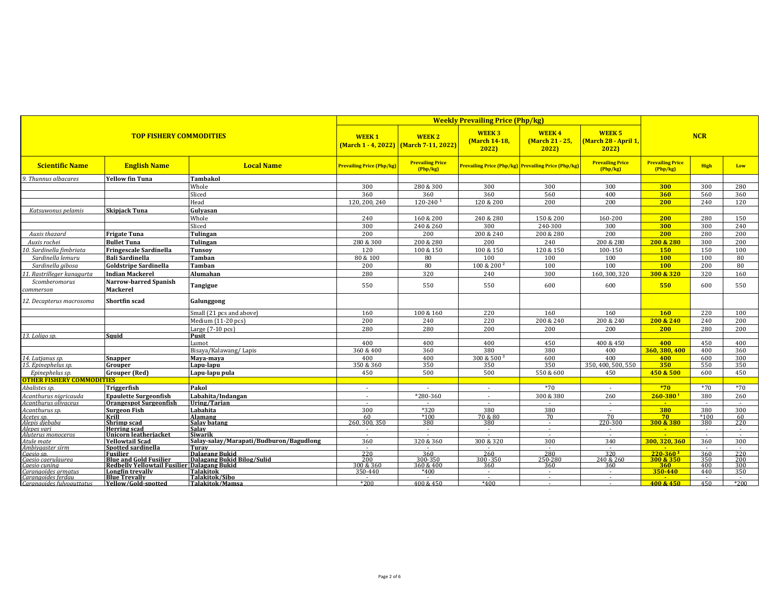|                                                                        |                                                        |                                                           | <b>Weekly Prevailing Price (Php/kg)</b>                      |                                       |                                          |                                                            |                                     |                                    |               |               |
|------------------------------------------------------------------------|--------------------------------------------------------|-----------------------------------------------------------|--------------------------------------------------------------|---------------------------------------|------------------------------------------|------------------------------------------------------------|-------------------------------------|------------------------------------|---------------|---------------|
| <b>TOP FISHERY COMMODITIES</b>                                         |                                                        | <b>WEEK1</b>                                              | <b>WEEK2</b><br><b>(March 1 - 4, 2022)</b> March 7-11, 2022) | <b>WEEK3</b><br>(March 14-18,<br>2022 | <b>WEEK4</b><br>(March 21 - 25,<br>2022) | <b>WEEK 5</b><br><b>March 28 - April 1</b><br>2022         |                                     | <b>NCR</b>                         |               |               |
| <b>Scientific Name</b>                                                 | <b>English Name</b>                                    | <b>Local Name</b>                                         | <b>Prevailing Price (Php/kg)</b>                             | <b>Prevailing Price</b><br>(Php/kg)   |                                          | <b>Prevailing Price (Php/kg) Prevailing Price (Php/kg)</b> | <b>Prevailing Price</b><br>(Php/kg) | <b>Prevailing Price</b><br>Php/kg) | <b>High</b>   | Low           |
| 9. Thunnus albacares                                                   | <b>Yellow fin Tuna</b>                                 | <b>Tambakol</b>                                           |                                                              |                                       |                                          |                                                            |                                     |                                    |               |               |
|                                                                        |                                                        | Whole                                                     | 300                                                          | 280 & 300                             | 300                                      | 300                                                        | 300                                 | 300                                | 300           | 280           |
|                                                                        |                                                        | Sliced                                                    | 360                                                          | 360                                   | 360                                      | 560                                                        | 400                                 | 360                                | 560           | 360           |
|                                                                        |                                                        | Head                                                      | 120, 200, 240                                                | $120 - 240$ <sup>1</sup>              | 120 & 200                                | 200                                                        | 200                                 | 200                                | 240           | 120           |
| Katsuwonus pelamis                                                     | <b>Skipjack Tuna</b>                                   | Gulvasan                                                  |                                                              |                                       |                                          |                                                            |                                     |                                    |               |               |
|                                                                        |                                                        | Whole                                                     | 240                                                          | 160 & 200                             | 240 & 280                                | 150 & 200                                                  | 160-200                             | 200                                | 280           | 150           |
|                                                                        |                                                        |                                                           |                                                              |                                       |                                          |                                                            |                                     |                                    |               |               |
|                                                                        |                                                        | Sliced                                                    | 300                                                          | 240 & 260                             | 300                                      | 240-300                                                    | 300                                 | 300                                | 300           | 240           |
| Auxis thazard                                                          | <b>Frigate Tuna</b>                                    | Tulingan                                                  | 200                                                          | 200                                   | 200 & 240                                | 200 & 280                                                  | 200                                 | 200                                | 280           | 200           |
| Auxis rochei                                                           | <b>Bullet Tuna</b>                                     | Tulingan                                                  | 280 & 300                                                    | 200 & 280                             | 200                                      | 240                                                        | 200 & 280                           | 200 & 280                          | 300           | 200           |
| 10. Sardinella fimbriata                                               | <b>Fringescale Sardinella</b>                          | <b>Tunsoy</b>                                             | 120                                                          | 100 & 150                             | 100 & 150                                | 120 & 150                                                  | 100-150                             | 150                                | 150           | 100           |
| Sardinella lemuru                                                      | <b>Bali Sardinella</b>                                 | Tamban                                                    | 80 & 100                                                     | 80                                    | 100                                      | 100                                                        | 100                                 | <b>100</b>                         | 100           | 80            |
| Sardinella gibosa                                                      | <b>Goldstripe Sardinella</b>                           | <b>Tamban</b>                                             | 200                                                          | 80                                    | 100 & 200 <sup>2</sup>                   | 100                                                        | 100                                 | 100                                | 200           | 80            |
| 11. Rastrilleger kanagurta                                             | <b>Indian Mackerel</b>                                 | Alumahan                                                  | 280                                                          | 320                                   | 240                                      | 300                                                        | 160, 300, 320                       | 300 & 320                          | 320           | 160           |
| Scomberomorus                                                          | <b>Narrow-barred Spanish</b>                           |                                                           |                                                              |                                       |                                          |                                                            |                                     |                                    |               |               |
| commerson                                                              | Mackerel                                               | Tangigue                                                  | 550                                                          | 550                                   | 550                                      | 600                                                        | 600                                 | 550                                | 600           | 550           |
| 12. Decapterus macrosoma                                               | <b>Shortfin scad</b>                                   | Galunggong                                                |                                                              |                                       |                                          |                                                            |                                     |                                    |               |               |
|                                                                        |                                                        | Small (21 pcs and above)                                  | 160                                                          | 100 & 160                             | 220                                      | 160                                                        | 160                                 | 160                                | 220           | 100           |
|                                                                        |                                                        | Medium (11-20 pcs)                                        | 200                                                          | 240                                   | 220                                      | 200 & 240                                                  | 200 & 240                           | 200 & 240                          | 240           | 200           |
|                                                                        |                                                        | Large (7-10 pcs)                                          | 280                                                          | 280                                   | 200                                      | 200                                                        | 200                                 | 200                                | 280           | 200           |
| 13. Loliao sp.                                                         | Sauid                                                  | <b>Pusit</b>                                              |                                                              |                                       |                                          |                                                            |                                     |                                    |               |               |
|                                                                        |                                                        | Lumot                                                     | 400                                                          | 400                                   | 400                                      | 450                                                        | 400 & 450                           | 400                                | 450           | 400           |
|                                                                        |                                                        | Bisaya/Kalawang/Lapis                                     | 360 & 400                                                    | 360                                   | 380                                      | 380                                                        | 400                                 | 360, 380, 400                      | 400           | 360           |
| 14. Lutjanus sp.                                                       | <b>Snapper</b>                                         | Mava-mava                                                 | 400                                                          | 400                                   | 300 & 500                                | 600                                                        | 400                                 | 400                                | 600           | 300           |
| 15. Epinephelus sp.                                                    | Grouper                                                | Lapu-lapu                                                 | 350 & 360                                                    | 350                                   | 350                                      | 350                                                        | 350.400.500.550                     | 350                                | 550           | 350           |
|                                                                        |                                                        |                                                           |                                                              |                                       |                                          |                                                            |                                     |                                    |               |               |
| Epinephelus sp.                                                        | <b>Grouper</b> (Red)                                   | Lapu-lapu pula                                            | 450                                                          | 500                                   | 500                                      | 550 & 600                                                  | 450                                 | 450 & 500                          | 600           | 450           |
| <b>OTHER FISHERY COMMODITIES</b>                                       |                                                        |                                                           |                                                              |                                       |                                          |                                                            |                                     |                                    |               |               |
| Abalistes sp.                                                          | Triggerfish                                            | Pakol                                                     | $\sim$                                                       | $\sim$                                | $\sim$                                   | $*70$                                                      | $\sim$                              | $*70$                              | $*70$         | $*70$         |
| Acanthurus nigricauda                                                  | <b>Epaulette Surgeonfish</b>                           | Labahita/Indangan                                         | $\sim$                                                       | *280-360                              | $\sim$                                   | 300 & 380                                                  | 260                                 | $260 - 380$ <sup>1</sup>           | 380           | 260           |
| Acanthurus olivaceus                                                   | <b>Orangespot Surgeonfish</b>                          | Uring/Tarian                                              | $\sim$                                                       |                                       | $\sim$                                   |                                                            | $\sim$                              | $\blacksquare$                     | $\sim$        | $\sim$        |
| Acanthurus sp.                                                         | <b>Surgeon Fish</b>                                    | Labahita                                                  | 300                                                          | $*320$                                | 380                                      | 380                                                        | $\sim$                              | 380                                | 380           | 300           |
| Acetes sp.                                                             | Krill                                                  | Alamang                                                   | 60                                                           | $*100$                                | 70 & 80                                  | 70                                                         | 70                                  | 70                                 | $*100$        | 60            |
| Alepis diebaba                                                         | Shrimp scad                                            | Salav batang                                              | 260.300.350                                                  | 380                                   | 380                                      | $\sim$                                                     | 220-300                             | 300 & 380                          | 380           | 220           |
| Alenes vari                                                            | <b>Herring</b> scad                                    | <b>Salav</b>                                              |                                                              |                                       |                                          | $\sim$                                                     |                                     | <b>Card</b>                        | $\sim$        |               |
| Aluterus monoceros<br>Atule mate                                       | <b>Unicorn leatheriacket</b><br><b>Yellowtail Scad</b> | <b>Siwarik</b><br>Salay-salay/Marapati/Budburon/Bagudlong | $\sim$<br>360                                                | 320 & 360                             | 300 & 320                                | $\sim$<br>300                                              | $\sim$<br>340                       | 300.320.360                        | $\sim$<br>360 | $\sim$<br>300 |
| Ambivaaster sirm                                                       | Spotted sardinella                                     | Turav                                                     | $\sim$                                                       |                                       |                                          | $\sim$                                                     | $\sim$                              |                                    | $\sim$        | $\sim$        |
| Caesio sp.                                                             | Fusilier                                               | Dalagang Bukid                                            | 220                                                          | 360                                   | 260                                      | 280                                                        | 320                                 | $220-360^2$                        | 360           | 220           |
| Caesio caerulaurea                                                     | <b>Blue and Gold Fusilier</b>                          | Dalagang Bukid Bilog/Sulid                                | 200                                                          | 300-350                               | 300-350                                  | 250-280                                                    | 240 & 260                           | 300 & 350                          | 350           | 200           |
| Caesio cunina                                                          | Redbelly Yellowtail Fusilier Dalagang Bukid            |                                                           | 300 & 360                                                    | 360 & 400                             | 360                                      | 360                                                        | 360                                 | 360                                | 400           | 300           |
| Caranaoides armatus                                                    | Longfin trevally                                       | Talakitok                                                 | 350-440                                                      | $*400$                                | $\sim$                                   | $\sim$                                                     | $\sim$                              | 350-440                            | 440           | 350           |
| carangoides armatas<br>Carangoides ferdau<br>Carangoides fulvoauttatus | <b>Blue Trevally</b>                                   | Talakitok/Sibo                                            |                                                              |                                       | $\sim$                                   | $\sim$                                                     | $\sim$                              |                                    | $\sim$        | $\sim$        |
|                                                                        | Yellow/Gold-spotted                                    | Talakitok/Mamsa                                           | $*200$                                                       | 400 & 450                             | $*400$                                   | $\sim$                                                     | $\sim$                              | 400 & 450                          | 450           | $*200$        |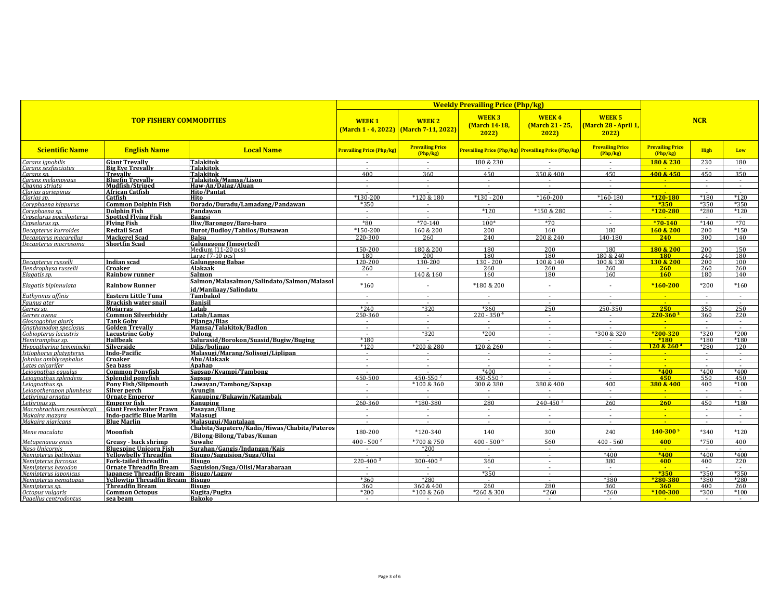| <b>TOP FISHERY COMMODITIES</b>               |                                                           |                                                                     | <b>Weekly Prevailing Price (Php/kg)</b> |                                                                  |                                       |                                                     |                                              |                                     |                          |                  |
|----------------------------------------------|-----------------------------------------------------------|---------------------------------------------------------------------|-----------------------------------------|------------------------------------------------------------------|---------------------------------------|-----------------------------------------------------|----------------------------------------------|-------------------------------------|--------------------------|------------------|
|                                              |                                                           |                                                                     | <b>WEEK1</b>                            | <b>WEEK2</b><br><u> (March 1 - 4, 2022)   (March 7-11, 2022)</u> | <b>WEEK3</b><br>(March 14-18,<br>2022 | <b>WEEK4</b><br>(March 21 - 25,<br>2022             | <b>WEEK 5</b><br>March 28 - April 1,<br>2022 | <b>NCR</b>                          |                          |                  |
| <b>Scientific Name</b>                       | <b>English Name</b>                                       | <b>Local Name</b>                                                   | <b>Prevailing Price (Php/kg)</b>        | <b>Prevailing Price</b><br>(Php/kg)                              |                                       | Prevailing Price (Php/kg) Prevailing Price (Php/kg) | <b>Prevailing Price</b><br>(Php/kg)          | <b>Prevailing Price</b><br>(Php/kg) | <b>High</b>              | Low              |
| Caranx ianobilis                             | <b>Giant Trevally</b>                                     | <b>Talakitok</b>                                                    |                                         |                                                                  | 180 & 230                             |                                                     |                                              | 180 & 230                           | 230                      | 180              |
| Caranx sexfasciatus                          | <b>Big Eve Trevally</b>                                   | <b>Talakitok</b><br><b>Talakitok</b>                                | 400                                     | 360                                                              | 450                                   | 350 & 400                                           | 450                                          | 400 & 450                           | 450                      | 350              |
| Caranx sp.<br>Caranx melampyaus              | <b>Trevally</b><br><b>Bluefin Trevally</b>                | Talakitok/Mamsa/Lison                                               | $\sim$                                  | $\sim$                                                           | $\sim$                                |                                                     | $\sim$                                       | $\sim$                              | $\sim$                   | $\sim$           |
| Channa striata                               | Mudfish/Striped                                           | Haw-An/Dalag/Aluan                                                  | $\sim$                                  | $\sim$                                                           | $\sim$                                |                                                     | $\sim$                                       | $\sim$                              | $\sim$                   | $\sim$           |
| Clarias aariepinus                           | African Catfish                                           | <b>Hito/Pantat</b>                                                  |                                         |                                                                  |                                       |                                                     |                                              |                                     |                          |                  |
| Clarias sp.                                  | Catfish                                                   | Hito                                                                | $*130-200$                              | *120 & 180                                                       | $*130 - 200$                          | $*160-200$                                          | $*160 - 180$                                 | $*120-180$                          | $*180$                   | $*120$           |
| Coryphaena hippurus                          | <b>Common Dolphin Fish</b>                                | Dorado/Duradu/Lamadang/Pandawan                                     | $*350$                                  | $\sim$                                                           | $\blacksquare$                        |                                                     | $\sim$                                       | $*350$                              | *350                     | $*350$           |
| Corvphaena sp.<br>Cypselurus poecilopterus   | <b>Dolphin Fish</b><br><b>Spotted Flying Fish</b>         | Pandawan<br>Bangsi                                                  |                                         | $\Delta \phi$                                                    | $*120$                                | *150 & 280                                          | $\sim$<br>$\sim$                             | $*120 - 280$                        | $*280$                   | $*120$           |
| Cypselurus sp.                               | <b>Flying Fish</b>                                        | Iliw/Barongov/Baro-baro                                             | $*80$                                   | $*70-140$                                                        | $100*$                                | $*70$                                               | $\sim$                                       | $*70-140$                           | $*140$                   | $*70$            |
| Decapterus kurroides                         | <b>Redtail Scad</b>                                       | Burot/Budloy/Tabilos/Butsawan                                       | $*150 - 200$                            | 160 & 200                                                        | 200                                   | 160                                                 | 180                                          | 160 & 200                           | 200                      | $*150$           |
| Decapterus macarellus                        | <b>Mackerel Scad</b>                                      | Balsa                                                               | 220-300                                 | 260                                                              | 240                                   | 200 & 240                                           | 140-180                                      | 240                                 | 300                      | 140              |
| Decapterus macrosoma                         | <b>Shortfin Scad</b>                                      | Galunggong (Imported)                                               |                                         |                                                                  |                                       |                                                     |                                              |                                     |                          |                  |
|                                              |                                                           | Medium $(11-20$ pcs $)$                                             | 150-200                                 | 180 & 200                                                        | 180                                   | 200                                                 | 180                                          | 180 & 200                           | 200                      | 150              |
|                                              |                                                           | Large $(7-10)$ pcs)                                                 | 180                                     | 200                                                              | 180                                   | 180                                                 | 180 & 240                                    | 180                                 | 240                      | 180              |
| Decapterus russelli                          | Indian scad                                               | <b>Galunggong Babae</b>                                             | 120-200                                 | 130-200                                                          | 130 - 200                             | 100 & 140                                           | 100 & 130                                    | 130 & 200                           | 200                      | 100              |
| Dendrophysa russelii                         | Croaker                                                   | Alakaak                                                             | 260                                     | $\sim$                                                           | 260                                   | 260                                                 | 260                                          | 260                                 | 260                      | 260              |
| Elagatis sp.                                 | <b>Rainbow runner</b>                                     | Salmon                                                              | $\sim$                                  | 140 & 160                                                        | 160                                   | 180                                                 | 160                                          | <b>160</b>                          | 180                      | 140              |
| Elagatis bipinnulata                         | <b>Rainbow Runner</b>                                     | Salmon/Malasalmon/Salindato/Salmon/Malasol<br>id/Manilaav/Salindatu | $*160$                                  |                                                                  | *180 & 200                            |                                                     |                                              | $*160-200$                          | $*200$                   | $*160$           |
| Euthynnus affinis                            | Eastern Little Tuna                                       | Tambakol                                                            | $\sim$                                  | $\sim$                                                           | $\sim$                                | $\sim$                                              | $\sim$                                       | $\sim$                              | $\sim$                   | $\sim$           |
| Faunus ater                                  | Brackish water snail                                      | <b>Banisil</b>                                                      |                                         |                                                                  |                                       |                                                     |                                              | <b><i><u>ALC</u></i></b>            |                          |                  |
| Gerres sp.                                   | Moiarras                                                  | Latab                                                               | $*240$                                  | $*320$                                                           | $*360$                                | 250                                                 | 250-350                                      | 250                                 | 350                      | 250              |
| Gerres ovena                                 | <b>Common Silverbiddy</b>                                 | Latab/Lamas                                                         | 250-360                                 | $\sim$                                                           | $220 - 3504$                          | $\sim$                                              | $\sim$                                       | $220 - 360$ <sup>3</sup>            | 360                      | 220              |
| Glossogobius giuris                          | <b>Tank Goby</b>                                          | Pijanga/Bias                                                        | $\sim$                                  | $\sim$                                                           |                                       | $\sim$                                              | $\sim$                                       | $\Delta \sim 1$                     |                          | $\sim$           |
| Gnathanodon speciosus                        | <b>Golden Trevally</b>                                    | Mamsa/Talakitok/Badlon                                              | $\sim$                                  | $\sim$<br>$*320$                                                 | $\sim$<br>$*200$                      | $\overline{\phantom{a}}$                            | *300 & 320                                   | $*200 - 320$                        | $\sim$<br>$*320$         | $\sim$<br>$*200$ |
| Gobiopterus lacustris<br>Hemiramphus sp.     | <b>Lacustrine Gobv</b><br><b>Halfbeak</b>                 | Dulong<br>Salurasid/Borokon/Suasid/Bugiw/Buging                     | $\sim$<br>$*180$                        |                                                                  |                                       | $\sim$                                              |                                              | $*180$                              | $*180$                   | $*180$           |
| Hypoatherina temminckii                      | Silverside                                                | Dilis/bolinao                                                       | $*120$                                  | *200 & 280                                                       | 120 & 260                             | $\sim$                                              |                                              | 120 & 260 <sup>4</sup>              | $*280$                   | 120              |
| Istiophorus platvpterus                      | <b>Indo-Pacific</b>                                       | Malasugi/Marang/Solisogi/Liplipan                                   | $\sim$                                  |                                                                  |                                       | $\sim$                                              |                                              | $\sim$                              | $\sim$                   | $\sim$           |
| Iohnius amblycephalus                        | Croaker                                                   | Abu/Alakaak                                                         |                                         |                                                                  |                                       |                                                     |                                              | $\sim$                              |                          |                  |
| Lates calcarifer                             | Sea bass                                                  | Apahap                                                              | $\sim$                                  | $\sim$                                                           | $\sim$                                |                                                     | $\sim$                                       |                                     | $\sim$                   | $\sim$           |
| Leioanathus eauulus                          | <b>Common Ponyfish</b>                                    | Sapsap/Kvampi/Tambong                                               |                                         |                                                                  | $*400$                                |                                                     | $\sim$                                       | $*400$                              | $*400$                   | $*400$           |
| Leioanathus splendens                        | Splendid ponyfish                                         | Sapsap                                                              | 450-500                                 | $450 - 550^2$                                                    | $450 - 550$ <sup>5</sup>              |                                                     |                                              | 450                                 | 550                      | 450              |
| Leioanathus sp.                              | <b>Pony Fish/Slipmouth</b>                                | Lawayan/Tambong/Sapsap                                              | $\sim$                                  | *100 & 360                                                       | 300 & 380                             | 380 & 400                                           | 400                                          | 380 & 400                           | 400                      | $*100$           |
| Leiopotherapon plumbeus<br>Lethrinus ornatus | Silver nerch                                              | Avungin                                                             | $\sim$                                  | $\sim$                                                           | $\sim$                                |                                                     | $\sim$                                       | $\sim$<br><b>Carl Co</b>            | $\sim$                   | $\sim$           |
| Lethrinus sp.                                | <b>Ornate Emperor</b><br><b>Emperor fish</b>              | Kanuping/Bukawin/Katambak<br>Kanuping                               | 260-360                                 | *180-380                                                         | 280                                   | $240 - 450$ $^2$                                    | 260                                          | 260                                 | 450                      | $*180$           |
| Macrobrachium rosenberaii                    | <b>Giant Freshwater Prawn</b>                             | Pasavan/Ulang                                                       |                                         |                                                                  | $\sim$                                |                                                     |                                              | $\sim$                              | $\sim$                   | $\sim$           |
| Makaira mazara                               | <b>Indo-pacific Blue Marlin</b>                           | <b>Malasugi</b>                                                     | $\sim$                                  | $\sim$                                                           | $\sim$                                | $\sim$                                              | $\sim$                                       | <b>Carl Co</b>                      | $\sim$                   | $\sim$           |
| Makaira nigricans                            | <b>Blue Marlin</b>                                        | Malasugui/Mantalaan                                                 | $\sim$                                  | $\sim$                                                           | $\sim$                                | $\sim$                                              | $\overline{\phantom{0}}$                     |                                     | $\overline{\phantom{0}}$ |                  |
|                                              | Moonfish                                                  | Chabita/Sapatero/Kadis/Hiwas/Chabita/Pateros                        | 180-200                                 | $*120-340$                                                       | 140                                   | 300                                                 | 240                                          | $140 - 300$ <sup>5</sup>            | $*340$                   | $*120$           |
| Mene maculata                                |                                                           | /Bilong-Bilong/Tabas/Kunan                                          |                                         |                                                                  |                                       |                                                     |                                              |                                     |                          |                  |
| Metapenaeus ensis                            | Greasy - back shrimp                                      | Suwahe                                                              | $400 - 500^2$                           | *700 & 750                                                       | $400 - 500^{6}$                       | 560                                                 | $400 - 560$                                  | 400                                 | $*750$                   | 400              |
| Naso Unicornis                               | <b>Bluespine Unicorn Fish</b>                             | Surahan/Gangis/Indangan/Kais                                        |                                         | $*200$                                                           |                                       | $\overline{\phantom{a}}$                            |                                              |                                     |                          |                  |
| Neminterus hathybius                         | <b>Yellowhelly Threadfin</b>                              | Bisugo/Saguision/Suga/Olisi                                         |                                         |                                                                  |                                       | $\sim$                                              | $*400$                                       | $*400$                              | $*400$                   | $*400$           |
| Nemipterus furcosus                          | Fork-tailed threadfin                                     | <b>Bisugo</b>                                                       | $220 - 400^{3}$                         | $300 - 400$ <sup>3</sup>                                         | 360                                   |                                                     | 380                                          | 400<br><b>A</b>                     | 400                      | 220              |
| Nemipterus hexodon<br>Neminterus iaponicus   | <b>Ornate Threadfin Bream</b><br>Iananese Threadfin Bream | Saguision/Suga/Olisi/Marabaraan<br>Bisugo/Lagaw                     |                                         | $\sim$<br>$\sim$                                                 | $\sim$<br>$*350$                      | $\sim$                                              | $\sim$                                       | $*350$                              | $\sim$<br>$*350$         | $*350$           |
| Nemipterus nematopus                         | <b>Yellowtip Threadfin Bream Bisugo</b>                   |                                                                     | $*360$                                  | $*280$                                                           |                                       |                                                     | *380                                         | $*280 - 380$                        | *380                     | $*280$           |
| Nemipterus sp.                               | Threadfin Bream                                           | <b>Bisugo</b>                                                       | 360                                     | 360 & 400                                                        | 260                                   | 280                                                 | 360                                          | 360                                 | 400                      | 260              |
| Octopus vulgaris                             | <b>Common Octopus</b>                                     | Kugita/Pugita                                                       | *200                                    | $*100 & 260$                                                     | *260 & 300                            | $*260$                                              | $*260$                                       | $*100-300$                          | $*300$                   | $*100$           |
| Pagellus centrodontus                        | sea beam                                                  | Bakoko                                                              | $\sim$                                  | $\sim$                                                           | $\sim$                                | $\sim$                                              | $\sim$                                       | <b>Contract</b>                     | $\sim$                   | $\sim$           |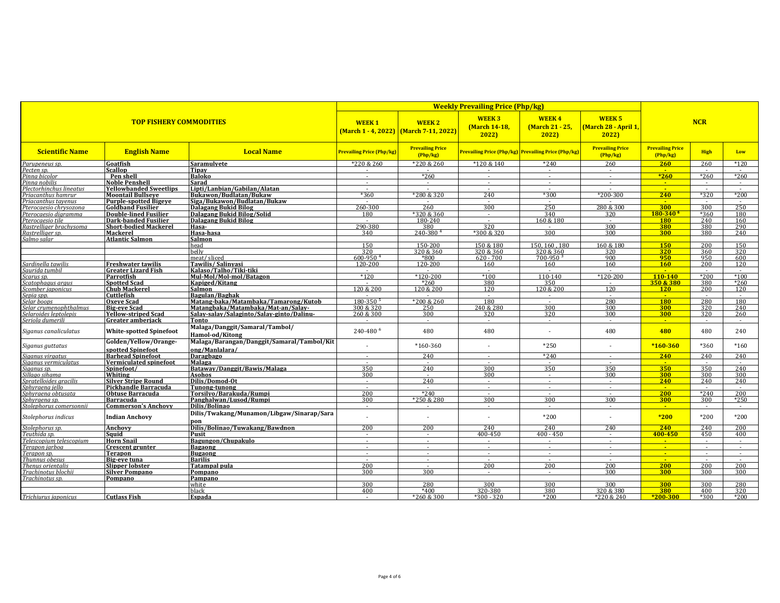| <b>TOP FISHERY COMMODITIES</b>            |                                                        |                                                              | <b>Weekly Prevailing Price (Php/kg)</b> |                                                                  |                                                     |                                         |                                               |                                   |                          |               |
|-------------------------------------------|--------------------------------------------------------|--------------------------------------------------------------|-----------------------------------------|------------------------------------------------------------------|-----------------------------------------------------|-----------------------------------------|-----------------------------------------------|-----------------------------------|--------------------------|---------------|
|                                           |                                                        |                                                              | <b>WEEK1</b>                            | <b>WEEK2</b><br><u> (March 1 - 4, 2022)   (March 7-11, 2022)</u> | <b>WEEK3</b><br><b>(March 14-18,</b><br>2022        | <b>WEEK4</b><br>(March 21 - 25,<br>2022 | <b>WEEK 5</b><br>(March 28 - April 1,<br>2022 |                                   |                          |               |
| <b>Scientific Name</b>                    | <b>English Name</b>                                    | <b>Local Name</b>                                            | <b>Prevailing Price (Php/kg)</b>        | <b>Prevailing Price</b><br>Php/kg                                | Prevailing Price (Php/kg) Prevailing Price (Php/kg) |                                         | <b>Prevailing Price</b><br>(Php/kg)           | <b>Prevailing Price</b><br>Php/kg | <b>High</b>              | Low           |
| Parupeneus sp.                            | Goatfish                                               | Saramulyete                                                  | *220 & 260                              | *220 & 260                                                       | *120 & 140                                          | $*240$                                  | 260                                           | 260                               | 260                      | $*120$        |
| Pecten sp.                                | Scallop                                                | Tipav                                                        |                                         |                                                                  |                                                     |                                         |                                               |                                   |                          |               |
| Pinna bicolor                             | Pen shell                                              | <b>Baloko</b>                                                | $\sim$                                  | $*260$                                                           | $\sim$                                              | $\sim$                                  | $\sim$                                        | $*260$                            | $*260$                   | $*260$        |
| Pinna nobilis<br>Plectorhinchus lineatus  | <b>Noble Penshell</b><br><b>Yellowbanded Sweetlips</b> | Sarad                                                        | $\sim$                                  | $\sim$                                                           | $\sim$                                              | $\sim$                                  | $\sim$                                        | <b>CALC</b><br>$\sim$             | $\sim$                   |               |
| Priacanthus hamrur                        | <b>Moontail Bullseve</b>                               | Lipti/Lanbian/Gabilan/Alatan<br>Bukawon/Budlatan/Bukaw       | $*360$                                  | *280 & 320                                                       | 240                                                 | *300                                    | $*200 - 300$                                  | 240                               | $*320$                   | $*200$        |
| Priacanthus tavenus                       | Purple-spotted Bigeve                                  | Siga/Bukawon/Budlatan/Bukaw                                  |                                         |                                                                  |                                                     |                                         |                                               | <b>Carl Co</b>                    |                          |               |
| Pterocaesio chrysozona                    | <b>Goldband Fusilier</b>                               | Dalagang Bukid Bilog                                         | 260-300                                 | 260                                                              | 300                                                 | 250                                     | 280 & 300                                     | 300                               | 300                      | 250           |
| Pterocaesio diaramma                      | Double-lined Fusilier                                  | Dalagang Bukid Bilog/Solid                                   | 180                                     | *320 & 360                                                       | $\sim$                                              | 340                                     | 320                                           | $180 - 340$ <sup>6</sup>          | *360                     | 180           |
| Pterocaesio tile                          | Dark-banded Fusilier                                   | <b>Dalagang Bukid Bilog</b>                                  | $\sim$                                  | 180-240                                                          | $\sim$                                              | 160 & 180                               | $\sim$                                        | <b>180</b>                        | 240                      | 160           |
| Rastrelliaer brachysoma                   | <b>Short-bodied Mackerel</b>                           | Hasa-                                                        | 290-380                                 | 380                                                              | 320                                                 |                                         | 300                                           | 380                               | 380                      | 290           |
| Rastrelliger sp.                          | <b>Mackerel</b>                                        | Hasa-hasa                                                    | 340                                     | 240-3804                                                         | *300 & 320                                          | 300                                     | 300                                           | 300                               | 380                      | 240           |
| Salmo salar                               | <b>Atlantic Salmon</b>                                 | Salmon                                                       | 150                                     |                                                                  | 150 & 180                                           |                                         |                                               | 150                               |                          | 150           |
|                                           |                                                        | head<br>helly                                                | 320                                     | 150-200<br>320 & 360                                             | 320 & 360                                           | 150.160.180<br>320 & 360                | 160 & 180<br>320                              | 320                               | 200<br>360               | 320           |
|                                           |                                                        | meat/sliced                                                  | 600-950                                 | *800                                                             | $620 - 700$                                         | $700 - 950$ <sup>3</sup>                | 900                                           | 950                               | 950                      | 600           |
| Sardinella tawilis                        | <b>Freshwater tawilis</b>                              | Tawilis/Salinyasi                                            | 120-200                                 | 120-200                                                          | 160                                                 | 160                                     | 160                                           | <b>160</b>                        | 200                      | 120           |
| Saurida tumbil                            | <b>Greater Lizard Fish</b>                             | Kalaso/Talho/Tiki-tiki                                       |                                         |                                                                  |                                                     |                                         |                                               |                                   |                          |               |
| Scarus sp.                                | Parrotfish                                             | Mul-Mol/Mol-mol/Batagon                                      | $*120$                                  | $*120-200$                                                       | $*100$                                              | 110-140                                 | $*120-200$                                    | 110-140                           | $*200$                   | $*100$        |
| Scatophagus argus                         | <b>Spotted Scad</b>                                    | Kapiged/Kitang                                               | $\sim$                                  | $*260$                                                           | 380                                                 | 350                                     | $\sim$                                        | 350 & 380                         | 380                      | $*260$        |
| Scomber japonicus                         | <b>Chub Mackerel</b>                                   | Salmon                                                       | 120 & 200                               | 120 & 200                                                        | 120                                                 | 120 & 200                               | 120                                           | 120                               | 200                      | 120           |
| Sepia spp.                                | Cuttlefish                                             | Bagulan/Baghak                                               |                                         | $\sim$                                                           | $\sim$                                              | $\sim$                                  | $\sim$                                        | $\sim$                            | $\overline{\phantom{a}}$ | $\sim$        |
| Selar boops                               | <b>Oxeve Scad</b>                                      | Matang-baka/Matambaka/Tamarong/Kutob                         | 180-350                                 | *200 & 260                                                       | 180                                                 | $\sim$                                  | 280                                           | <b>180</b>                        | 280                      | 180           |
| Selar crumenophthalmus                    | <b>Big-eve Scad</b>                                    | Matangbaka/Matambaka/Mat-an/Salay-                           | 300 & 320                               | 250<br>300                                                       | 240 & 280                                           | 300                                     | 300<br>300                                    | 300                               | 320                      | 240<br>260    |
| Selaroides leptolepis<br>Seriola dumerili | <b>Yellow-striped Scad</b><br>Greater amberjack        | Salay-salay/Salaginto/Salay-ginto/Dalinu-<br>Tonto           | 260 & 300                               | $\sim$                                                           | 320<br>$\sim$                                       | 320<br>$\sim$                           | $\sim$                                        | 300<br>$\sim$                     | 320<br>$\sim$            |               |
|                                           |                                                        | Malaga/Danggit/Samaral/Tambol/                               |                                         |                                                                  |                                                     |                                         |                                               |                                   |                          |               |
| Siganus canaliculatus                     | <b>White-spotted Spinefoot</b>                         | Hamol-od/Kitong                                              | 240-480 6                               | 480                                                              | 480                                                 |                                         | 480                                           | 480                               | 480                      | 240           |
| Siganus guttatus                          | Golden/Yellow/Orange-<br>spotted Spinefoot             | Malaga/Barangan/Danggit/Samaral/Tambol/Kit<br>ong/Manlalara/ |                                         | $*160-360$                                                       |                                                     | $*250$                                  |                                               | $*160-360$                        | *360                     | $*160$        |
| Siaanus viraatus                          | <b>Barhead Spinefoot</b>                               | Daragbago                                                    | $\sim$                                  | 240                                                              | $\sim$                                              | $*240$                                  | $\sim$                                        | 240                               | 240                      | 240           |
| Siganus vermiculatus                      | Vermiculated spinefoot                                 | <b>Malaga</b>                                                | $\sim$                                  | $\overline{\phantom{a}}$                                         | $\overline{\phantom{a}}$                            | $\sim$                                  | $\sim$                                        | $\mathbf{u}$                      |                          |               |
| Siganus sp.                               | Spinefoot/                                             | Bataway/Danggit/Bawis/Malaga                                 | 350                                     | 240                                                              | 300                                                 | 350                                     | 350                                           | 350                               | 350                      | 240           |
| Sillago sihama                            | Whiting                                                | Asohos                                                       | 300                                     | $\sim$                                                           | 300                                                 | $\sim$                                  | 300                                           | 300                               | 300                      | 300           |
| Spratelloides gracilis                    | <b>Silver Stripe Round</b>                             | Dilis/Domod-Ot                                               | $\sim$                                  | 240                                                              | $\sim$                                              | $\sim$                                  | $\sim$                                        | 240                               | 240                      | 240           |
| Sphyraena jello                           | Pickhandle Barracuda                                   | Tunong-tunong                                                | $\sim$<br>200                           | $\sim$<br>$*240$                                                 | $\sim$                                              | $\sim$                                  | $\sim$                                        | $\sim$<br>200                     | $\sim$<br>$*240$         | $\sim$<br>200 |
| Sphvraena obtusata<br>Sphyraena sp.       | <b>Obtuse Barracuda</b><br><b>Barracuda</b>            | Torsilyo/Barakuda/Rumpi<br>Panghalwan/Lusod/Rumpi            | 300                                     | *250 & 280                                                       | 300                                                 | 300                                     | 300                                           | 300                               | 300                      | $*250$        |
| Stolephorus comersonnii                   | <b>Commerson's Anchovy</b>                             | Dilis/Bolinao                                                | $\sim$                                  | $\sim$                                                           | $\sim$                                              | $\sim$                                  | $\sim$                                        | $\sim$ $\sim$                     | $\sim$                   |               |
| Stolephorus indicus                       | <b>Indian Anchovy</b>                                  | Dilis/Twakang/Munamon/Libgaw/Sinarap/Sara                    |                                         | $\sim$                                                           |                                                     | $*200$                                  |                                               | $*200$                            | *200                     | $*200$        |
|                                           |                                                        | pon                                                          |                                         |                                                                  |                                                     |                                         |                                               |                                   |                          |               |
| Stolenhorus sn.                           | Anchovy                                                | Dilis/Bolinao/Tuwakang/Bawdnon                               | 200                                     | 200                                                              | 240                                                 | 240                                     | 240                                           | 240                               | 240                      | 200           |
| Teuthida sp.                              | Sauid                                                  | Pusit                                                        | $\sim$                                  | $\sim$                                                           | 400-450                                             | $400 - 450$                             |                                               | 400-450                           | 450                      | 400           |
| Telescopium telescopium<br>Terapon jarboa | <b>Horn Snail</b><br><b>Crescent grunter</b>           | Bagungon/Chupakulo<br>Bagaong                                | $\sim$                                  | $\sim$                                                           | $\sim$                                              | $\sim$                                  | $\sim$                                        | $\sim$<br>$\sim$ $-$              | $\sim$                   | $\sim$        |
| Terapon sp.                               | Terapon                                                | <b>Bugaong</b>                                               | $\sim$                                  | $\sim$                                                           | $\sim$                                              | $\sim$                                  | $\sim$                                        | $\sim$                            | $\sim$                   | $\sim$        |
| Thunnus obesus                            | Big-eve tuna                                           | <b>Barilis</b>                                               | $\sim$                                  | $\sim$                                                           | $\sim$                                              | $\sim$                                  | $\sim$                                        | $\sim$                            | in a                     |               |
| Thenus orientalis                         | <b>Slipper lobster</b>                                 | <b>Tatampal pula</b>                                         | 200                                     | $\sim$                                                           | 200                                                 | 200                                     | 200                                           | 200                               | 200                      | 200           |
| Trachinotus blochii                       | <b>Silver Pompano</b>                                  | Pompano                                                      | 300                                     | 300                                                              | $\sim$                                              | $\sim$                                  | 300                                           | 300                               | 300                      | 300           |
| Trachinotus sp.                           | Pompano                                                | Pampano                                                      |                                         |                                                                  |                                                     |                                         |                                               |                                   |                          |               |
|                                           |                                                        | white                                                        | 300                                     | 280                                                              | 300                                                 | 300                                     | 300                                           | <b>300</b>                        | 300                      | 280           |
|                                           |                                                        | black                                                        | 400                                     | $*400$                                                           | 320-380                                             | 380                                     | 320 & 380                                     | 380                               | 400                      | 320           |
| Trichiurus japonicus                      | <b>Cutlass Fish</b>                                    | Espada                                                       | $\sim$                                  | *260 & 300                                                       | $*300 - 320$                                        | $*200$                                  | *220 & 240                                    | $*200-300$                        | $*300$                   | $*200$        |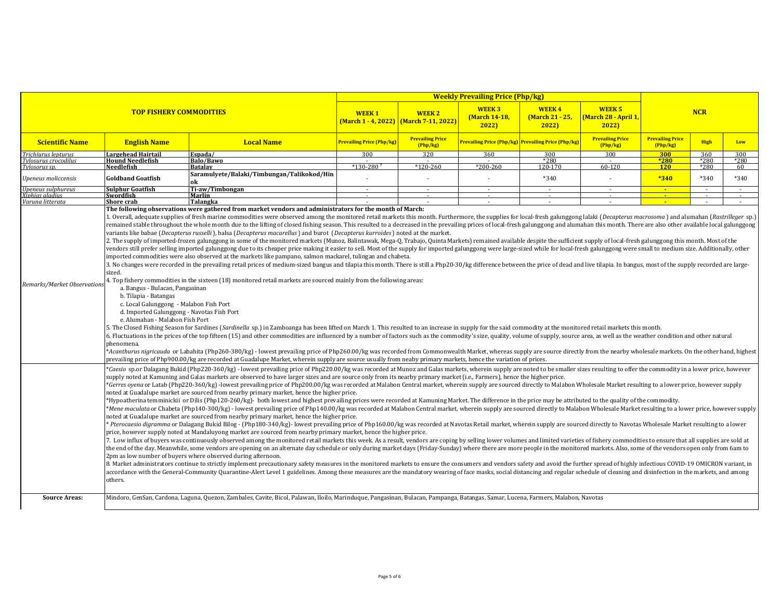|                                       |                                                                                                                                                                                                                                                                                                                                                                                                                                                                                                                                                                                                                                                                                                                                                                                                                                                                                                                                                                                                                                                                                                                                                                                                                                                                                                                                                                                                                                                                                                                                                                                                                                                                                                                                                                                                                                                                                                                                                                                                                                                                                                                                                                                                                                                                                                                                                                                                                                                                                                                                                                                                                                                                                                                                                                                                                                                                                                                                                                                                                                                                                                                                                                                                                                                                                                                                                                                                                                                                                                                                                                                                                                                                                                                                                                                                                                                                                                                                                                                                                                                                                                                                                                                                                                                                                                                                                                                                                                                                                                                                                                                                                                                                                                                                                |                                                                                                                                                                                                                                                                                                                                                                                                                                                                                                                                                                                                                                                       | <b>Weekly Prevailing Price (Php/kg)</b> |                                                             |                                        |                                                     |                                                |                                   |                          |              |  |
|---------------------------------------|------------------------------------------------------------------------------------------------------------------------------------------------------------------------------------------------------------------------------------------------------------------------------------------------------------------------------------------------------------------------------------------------------------------------------------------------------------------------------------------------------------------------------------------------------------------------------------------------------------------------------------------------------------------------------------------------------------------------------------------------------------------------------------------------------------------------------------------------------------------------------------------------------------------------------------------------------------------------------------------------------------------------------------------------------------------------------------------------------------------------------------------------------------------------------------------------------------------------------------------------------------------------------------------------------------------------------------------------------------------------------------------------------------------------------------------------------------------------------------------------------------------------------------------------------------------------------------------------------------------------------------------------------------------------------------------------------------------------------------------------------------------------------------------------------------------------------------------------------------------------------------------------------------------------------------------------------------------------------------------------------------------------------------------------------------------------------------------------------------------------------------------------------------------------------------------------------------------------------------------------------------------------------------------------------------------------------------------------------------------------------------------------------------------------------------------------------------------------------------------------------------------------------------------------------------------------------------------------------------------------------------------------------------------------------------------------------------------------------------------------------------------------------------------------------------------------------------------------------------------------------------------------------------------------------------------------------------------------------------------------------------------------------------------------------------------------------------------------------------------------------------------------------------------------------------------------------------------------------------------------------------------------------------------------------------------------------------------------------------------------------------------------------------------------------------------------------------------------------------------------------------------------------------------------------------------------------------------------------------------------------------------------------------------------------------------------------------------------------------------------------------------------------------------------------------------------------------------------------------------------------------------------------------------------------------------------------------------------------------------------------------------------------------------------------------------------------------------------------------------------------------------------------------------------------------------------------------------------------------------------------------------------------------------------------------------------------------------------------------------------------------------------------------------------------------------------------------------------------------------------------------------------------------------------------------------------------------------------------------------------------------------------------------------------------------------------------------------------------------------------|-------------------------------------------------------------------------------------------------------------------------------------------------------------------------------------------------------------------------------------------------------------------------------------------------------------------------------------------------------------------------------------------------------------------------------------------------------------------------------------------------------------------------------------------------------------------------------------------------------------------------------------------------------|-----------------------------------------|-------------------------------------------------------------|----------------------------------------|-----------------------------------------------------|------------------------------------------------|-----------------------------------|--------------------------|--------------|--|
|                                       | <b>TOP FISHERY COMMODITIES</b>                                                                                                                                                                                                                                                                                                                                                                                                                                                                                                                                                                                                                                                                                                                                                                                                                                                                                                                                                                                                                                                                                                                                                                                                                                                                                                                                                                                                                                                                                                                                                                                                                                                                                                                                                                                                                                                                                                                                                                                                                                                                                                                                                                                                                                                                                                                                                                                                                                                                                                                                                                                                                                                                                                                                                                                                                                                                                                                                                                                                                                                                                                                                                                                                                                                                                                                                                                                                                                                                                                                                                                                                                                                                                                                                                                                                                                                                                                                                                                                                                                                                                                                                                                                                                                                                                                                                                                                                                                                                                                                                                                                                                                                                                                                 |                                                                                                                                                                                                                                                                                                                                                                                                                                                                                                                                                                                                                                                       | <b>WEEK1</b>                            | <b>WEEK 2</b><br><b>March 1 - 4, 2022)</b> March 7-11, 2022 | <b>WEEK3</b><br>(March 14-18,<br>20221 | <b>WEEK4</b><br>(March 21 - 25,<br>2022             | <b>WEEK 5</b><br>(March 28 - April 1,<br>2022) | <b>NCR</b>                        |                          |              |  |
| <b>Scientific Name</b>                | <b>English Name</b>                                                                                                                                                                                                                                                                                                                                                                                                                                                                                                                                                                                                                                                                                                                                                                                                                                                                                                                                                                                                                                                                                                                                                                                                                                                                                                                                                                                                                                                                                                                                                                                                                                                                                                                                                                                                                                                                                                                                                                                                                                                                                                                                                                                                                                                                                                                                                                                                                                                                                                                                                                                                                                                                                                                                                                                                                                                                                                                                                                                                                                                                                                                                                                                                                                                                                                                                                                                                                                                                                                                                                                                                                                                                                                                                                                                                                                                                                                                                                                                                                                                                                                                                                                                                                                                                                                                                                                                                                                                                                                                                                                                                                                                                                                                            | <b>Local Name</b>                                                                                                                                                                                                                                                                                                                                                                                                                                                                                                                                                                                                                                     | Prevailing Price (Php/kg)               | <b>Prevailing Price</b><br>(Php/kg)                         |                                        | Prevailing Price (Php/kg) Prevailing Price (Php/kg) | <b>Prevailing Price</b><br>Php/kg              | <b>Prevailing Price</b><br>Php/kg | <b>High</b>              | Low          |  |
| Trichiurus lepturus                   | Largehead Hairtail                                                                                                                                                                                                                                                                                                                                                                                                                                                                                                                                                                                                                                                                                                                                                                                                                                                                                                                                                                                                                                                                                                                                                                                                                                                                                                                                                                                                                                                                                                                                                                                                                                                                                                                                                                                                                                                                                                                                                                                                                                                                                                                                                                                                                                                                                                                                                                                                                                                                                                                                                                                                                                                                                                                                                                                                                                                                                                                                                                                                                                                                                                                                                                                                                                                                                                                                                                                                                                                                                                                                                                                                                                                                                                                                                                                                                                                                                                                                                                                                                                                                                                                                                                                                                                                                                                                                                                                                                                                                                                                                                                                                                                                                                                                             | Espada/                                                                                                                                                                                                                                                                                                                                                                                                                                                                                                                                                                                                                                               | 300                                     | 320                                                         | 360                                    | 300                                                 | 300                                            | 300                               | 360                      | 300          |  |
| Tylosurus crocodilus<br>Tylosorus sp. | <b>Hound Needlefish</b><br>Needlefish                                                                                                                                                                                                                                                                                                                                                                                                                                                                                                                                                                                                                                                                                                                                                                                                                                                                                                                                                                                                                                                                                                                                                                                                                                                                                                                                                                                                                                                                                                                                                                                                                                                                                                                                                                                                                                                                                                                                                                                                                                                                                                                                                                                                                                                                                                                                                                                                                                                                                                                                                                                                                                                                                                                                                                                                                                                                                                                                                                                                                                                                                                                                                                                                                                                                                                                                                                                                                                                                                                                                                                                                                                                                                                                                                                                                                                                                                                                                                                                                                                                                                                                                                                                                                                                                                                                                                                                                                                                                                                                                                                                                                                                                                                          | Balo/Bawo<br><b>Batalav</b>                                                                                                                                                                                                                                                                                                                                                                                                                                                                                                                                                                                                                           | $*130-280$                              | $*120-260$                                                  | $*200 - 260$                           | $*280$<br>120-170                                   | $60 - 120$                                     | *280<br><b>120</b>                | $*280$<br>$*280$         | $*280$<br>60 |  |
| Upeneus moliccensis                   | <b>Goldband Goatfish</b>                                                                                                                                                                                                                                                                                                                                                                                                                                                                                                                                                                                                                                                                                                                                                                                                                                                                                                                                                                                                                                                                                                                                                                                                                                                                                                                                                                                                                                                                                                                                                                                                                                                                                                                                                                                                                                                                                                                                                                                                                                                                                                                                                                                                                                                                                                                                                                                                                                                                                                                                                                                                                                                                                                                                                                                                                                                                                                                                                                                                                                                                                                                                                                                                                                                                                                                                                                                                                                                                                                                                                                                                                                                                                                                                                                                                                                                                                                                                                                                                                                                                                                                                                                                                                                                                                                                                                                                                                                                                                                                                                                                                                                                                                                                       | Saramulyete/Balaki/Timbungan/Talikokod/Hin<br>ok                                                                                                                                                                                                                                                                                                                                                                                                                                                                                                                                                                                                      |                                         |                                                             |                                        | $*340$                                              |                                                | $*340$                            | *340                     | $*340$       |  |
| Upeneus sulphureus                    | <b>Sulphur Goatfish</b>                                                                                                                                                                                                                                                                                                                                                                                                                                                                                                                                                                                                                                                                                                                                                                                                                                                                                                                                                                                                                                                                                                                                                                                                                                                                                                                                                                                                                                                                                                                                                                                                                                                                                                                                                                                                                                                                                                                                                                                                                                                                                                                                                                                                                                                                                                                                                                                                                                                                                                                                                                                                                                                                                                                                                                                                                                                                                                                                                                                                                                                                                                                                                                                                                                                                                                                                                                                                                                                                                                                                                                                                                                                                                                                                                                                                                                                                                                                                                                                                                                                                                                                                                                                                                                                                                                                                                                                                                                                                                                                                                                                                                                                                                                                        | Ti-aw/Timbongan                                                                                                                                                                                                                                                                                                                                                                                                                                                                                                                                                                                                                                       | $\sim$                                  | $\sim$                                                      | $\sim$                                 | $\overline{\phantom{a}}$                            | $\sim$                                         | $\sim$                            | $\sim$                   | $\sim$       |  |
| Xiphias aladius                       | Swordfish                                                                                                                                                                                                                                                                                                                                                                                                                                                                                                                                                                                                                                                                                                                                                                                                                                                                                                                                                                                                                                                                                                                                                                                                                                                                                                                                                                                                                                                                                                                                                                                                                                                                                                                                                                                                                                                                                                                                                                                                                                                                                                                                                                                                                                                                                                                                                                                                                                                                                                                                                                                                                                                                                                                                                                                                                                                                                                                                                                                                                                                                                                                                                                                                                                                                                                                                                                                                                                                                                                                                                                                                                                                                                                                                                                                                                                                                                                                                                                                                                                                                                                                                                                                                                                                                                                                                                                                                                                                                                                                                                                                                                                                                                                                                      | Marlin                                                                                                                                                                                                                                                                                                                                                                                                                                                                                                                                                                                                                                                |                                         |                                                             |                                        |                                                     |                                                | $\sim$                            | $\overline{\phantom{a}}$ | $\sim$       |  |
| Varuna litterata                      | Shore crab                                                                                                                                                                                                                                                                                                                                                                                                                                                                                                                                                                                                                                                                                                                                                                                                                                                                                                                                                                                                                                                                                                                                                                                                                                                                                                                                                                                                                                                                                                                                                                                                                                                                                                                                                                                                                                                                                                                                                                                                                                                                                                                                                                                                                                                                                                                                                                                                                                                                                                                                                                                                                                                                                                                                                                                                                                                                                                                                                                                                                                                                                                                                                                                                                                                                                                                                                                                                                                                                                                                                                                                                                                                                                                                                                                                                                                                                                                                                                                                                                                                                                                                                                                                                                                                                                                                                                                                                                                                                                                                                                                                                                                                                                                                                     | Talangka<br>The following observations were gathered from market vendors and administrators for the month of March:                                                                                                                                                                                                                                                                                                                                                                                                                                                                                                                                   |                                         |                                                             |                                        |                                                     |                                                | a.                                |                          | $\sim$       |  |
| Remarks/Market Observation            | 1. Overall, adequate supplies of fresh marine commodities were observed among the monitored retail markets this month. Furthermore, the supplies for local-fresh galunggong lalaki (Decapterus macrosoma) and alumahan (Rastri<br>remained stable throughout the whole month due to the lifting of closed fishing season. This resulted to a decreased in the prevailing prices of local-fresh galunggong and alumahan this month. There are also other availabl<br>variants like babae (Decapterus russelli), balsa (Decapterus macarellus) and burot (Decapterus kurroides) noted at the market.<br>2. The supply of imported-frozen galunggong in some of the monitored markets (Munoz, Balintawak, Mega-Q, Trabajo, Quinta Markets) remained available despite the sufficient supply of local-fresh galunggong this month. Most<br>vendors still prefer selling imported galunggong due to its cheaper price making it easier to sell. Most of the supply for imported galunggong were large-sized while for local-fresh galunggong were small to medium size. Ad<br>imported commodities were also observed at the markets like pampano, salmon mackarel, tulingan and chabeta.<br>3. No changes were recorded in the prevailing retail prices of medium-sized bangus and tilapia this month. There is still a Php20-30/kg difference between the price of dead and live tilapia. In bangus, most of the supply r<br>sized.<br>4. Top fishery commodities in the sixteen (18) monitored retail markets are sourced mainly from the following areas:<br>a. Bangus - Bulacan, Pangasinan<br>b. Tilapia - Batangas<br>c. Local Galunggong - Malabon Fish Port<br>d. Imported Galunggong - Navotas Fish Port<br>e. Alumahan - Malabon Fish Port<br>5. The Closed Fishing Season for Sardines (Sardinella sp.) in Zamboanga has been lifted on March 1. This resulted to an increase in supply for the said commodity at the monitored retail markets this month.<br>6. Fluctuations in the prices of the top fifteen (15) and other commodities are influenced by a number of factors such as the commodity's size, quality, volume of supply, source area, as well as the weather condition and o<br>phenomena.<br>*Acanthurus nigricauda or Labahita (Php260-380/kg) - lowest prevailing price of Php260.00/kg was recorded from Commonwealth Market, whereas supply are source directly from the nearby wholesale markets. On the other hand, h<br>prevailing price of Php900.00/kg are recorded at Guadalupe Market, wherein supply are source usually from neaby primary markets, hence the variation of prices.<br>*Caesio sp.or Dalagang Bukid (Php220-360/kg) - lowest prevailing price of Php220.00/kg was recorded at Munoz and Galas markets, wherein supply are noted to be smaller sizes resulting to offer the commodity in a lower price<br>supply noted at Kamuning and Galas markets are observed to have larger sizes and are source only from its nearby primary market (i.e., Farmers), hence the higher price.<br>*Gerres oyena or Latab (Php220-360/kg) -lowest prevailing price of Php200.00/kg was recorded at Malabon Central market, wherein supply are sourced directly to Malabon Wholesale Market resulting to a lower price, however su<br>noted at Guadalupe market are sourced from nearby primary market, hence the higher price.<br>*Hypoatherina temminickii or Dilis (Php120-260/kg)- both lowest and highest prevailing prices were recorded at Kamuning Market. The difference in the price may be attributed to the quality of the commodity.<br>*Mene maculata or Chabeta (Php140-300/kg) - lowest prevailing price of Php140.00/kg was recorded at Malabon Central market, wherein supply are sourced directly to Malabon Wholesale Market resulting to a lower price, howeve<br>noted at Guadalupe market are sourced from nearby primary market, hence the higher price.<br>* Pterocaesio digramma or Dalagang Bukid Bilog - (Php180-340/kg)- lowest prevailing price of Php160.00/kg was recorded at Navotas Retail market, wherein supply are sourced directly to Navotas Wholesale Market resulting to<br>price, however supply noted at Mandaluyong market are sourced from nearby primary market, hence the higher price.<br>7. Low influx of buyers was continuously observed among the monitored retail markets this week. As a result, vendors are coping by selling lower volumes and limited varieties of fishery commodities to ensure that all suppl<br>the end of the day. Meanwhile, some vendors are opening on an alternate day schedule or only during market days (Friday-Sunday) where there are more people in the monitored markets. Also, some of the vendors open only from |                                                                                                                                                                                                                                                                                                                                                                                                                                                                                                                                                                                                                                                       |                                         |                                                             |                                        |                                                     |                                                |                                   |                          |              |  |
| <b>Source Areas:</b>                  | others.                                                                                                                                                                                                                                                                                                                                                                                                                                                                                                                                                                                                                                                                                                                                                                                                                                                                                                                                                                                                                                                                                                                                                                                                                                                                                                                                                                                                                                                                                                                                                                                                                                                                                                                                                                                                                                                                                                                                                                                                                                                                                                                                                                                                                                                                                                                                                                                                                                                                                                                                                                                                                                                                                                                                                                                                                                                                                                                                                                                                                                                                                                                                                                                                                                                                                                                                                                                                                                                                                                                                                                                                                                                                                                                                                                                                                                                                                                                                                                                                                                                                                                                                                                                                                                                                                                                                                                                                                                                                                                                                                                                                                                                                                                                                        | 8. Market administrators continue to strictly implement precautionary safety measures in the monitored markets to ensure the consumers and vendors safety and avoid the further spread of highly infectious COVID-19 OMICRON v<br>accordance with the General-Community Quarantine-Alert Level 1 guidelines. Among these measures are the mandatory wearing of face masks, social distancing and regular schedule of cleaning and disinfection in the markets, a<br>Mindoro, GenSan, Cardona, Laguna, Quezon, Zambales, Cavite, Bicol, Palawan, Iloilo, Marinduque, Pangasinan, Bulacan, Pampanga, Batangas, Samar, Lucena, Farmers, Malabon, Navotas |                                         |                                                             |                                        |                                                     |                                                |                                   |                          |              |  |
|                                       |                                                                                                                                                                                                                                                                                                                                                                                                                                                                                                                                                                                                                                                                                                                                                                                                                                                                                                                                                                                                                                                                                                                                                                                                                                                                                                                                                                                                                                                                                                                                                                                                                                                                                                                                                                                                                                                                                                                                                                                                                                                                                                                                                                                                                                                                                                                                                                                                                                                                                                                                                                                                                                                                                                                                                                                                                                                                                                                                                                                                                                                                                                                                                                                                                                                                                                                                                                                                                                                                                                                                                                                                                                                                                                                                                                                                                                                                                                                                                                                                                                                                                                                                                                                                                                                                                                                                                                                                                                                                                                                                                                                                                                                                                                                                                |                                                                                                                                                                                                                                                                                                                                                                                                                                                                                                                                                                                                                                                       |                                         |                                                             |                                        |                                                     |                                                |                                   |                          |              |  |